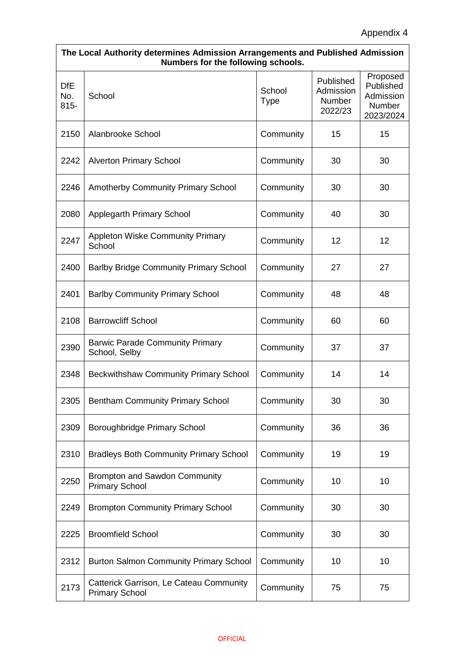| The Local Authority determines Admission Arrangements and Published Admission<br>Numbers for the following schools. |                                                                  |                       |                                                    |                                                           |
|---------------------------------------------------------------------------------------------------------------------|------------------------------------------------------------------|-----------------------|----------------------------------------------------|-----------------------------------------------------------|
| <b>DfE</b><br>No.<br>$815 -$                                                                                        | School                                                           | School<br><b>Type</b> | Published<br>Admission<br><b>Number</b><br>2022/23 | Proposed<br>Published<br>Admission<br>Number<br>2023/2024 |
| 2150                                                                                                                | Alanbrooke School                                                | Community             | 15                                                 | 15                                                        |
| 2242                                                                                                                | <b>Alverton Primary School</b>                                   | Community             | 30                                                 | 30                                                        |
| 2246                                                                                                                | Amotherby Community Primary School                               | Community             | 30                                                 | 30                                                        |
| 2080                                                                                                                | <b>Applegarth Primary School</b>                                 | Community             | 40                                                 | 30                                                        |
| 2247                                                                                                                | Appleton Wiske Community Primary<br>School                       | Community             | 12                                                 | 12                                                        |
| 2400                                                                                                                | <b>Barlby Bridge Community Primary School</b>                    | Community             | 27                                                 | 27                                                        |
| 2401                                                                                                                | <b>Barlby Community Primary School</b>                           | Community             | 48                                                 | 48                                                        |
| 2108                                                                                                                | <b>Barrowcliff School</b>                                        | Community             | 60                                                 | 60                                                        |
| 2390                                                                                                                | <b>Barwic Parade Community Primary</b><br>School, Selby          | Community             | 37                                                 | 37                                                        |
| 2348                                                                                                                | <b>Beckwithshaw Community Primary School</b>                     | Community             | 14                                                 | 14                                                        |
| 2305                                                                                                                | <b>Bentham Community Primary School</b>                          | Community             | 30                                                 | 30                                                        |
| 2309                                                                                                                | Boroughbridge Primary School                                     | Community             | 36                                                 | 36                                                        |
| 2310                                                                                                                | <b>Bradleys Both Community Primary School</b>                    | Community             | 19                                                 | 19                                                        |
| 2250                                                                                                                | <b>Brompton and Sawdon Community</b><br><b>Primary School</b>    | Community             | 10                                                 | 10                                                        |
| 2249                                                                                                                | <b>Brompton Community Primary School</b>                         | Community             | 30                                                 | 30                                                        |
| 2225                                                                                                                | <b>Broomfield School</b>                                         | Community             | 30                                                 | 30                                                        |
| 2312                                                                                                                | <b>Burton Salmon Community Primary School</b>                    | Community             | 10                                                 | 10                                                        |
| 2173                                                                                                                | Catterick Garrison, Le Cateau Community<br><b>Primary School</b> | Community             | 75                                                 | 75                                                        |

Ĭ.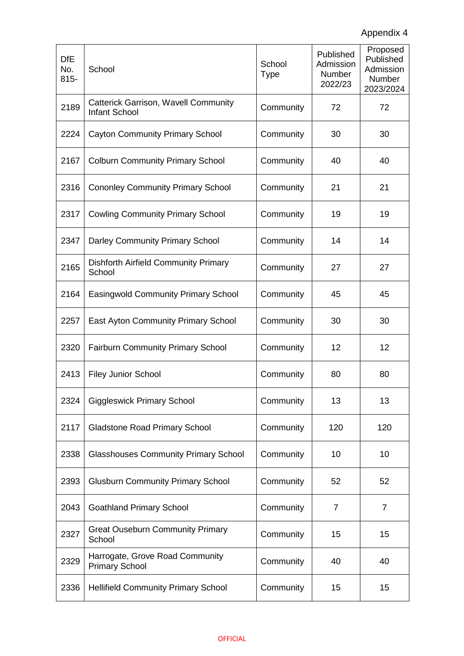| <b>DfE</b><br>No.<br>$815 -$ | School                                                              | School<br><b>Type</b> | Published<br>Admission<br><b>Number</b><br>2022/23 | Proposed<br>Published<br>Admission<br><b>Number</b><br>2023/2024 |
|------------------------------|---------------------------------------------------------------------|-----------------------|----------------------------------------------------|------------------------------------------------------------------|
| 2189                         | <b>Catterick Garrison, Wavell Community</b><br><b>Infant School</b> | Community             | 72                                                 | 72                                                               |
| 2224                         | <b>Cayton Community Primary School</b>                              | Community             | 30                                                 | 30                                                               |
| 2167                         | <b>Colburn Community Primary School</b>                             | Community             | 40                                                 | 40                                                               |
| 2316                         | <b>Cononley Community Primary School</b>                            | Community             | 21                                                 | 21                                                               |
| 2317                         | <b>Cowling Community Primary School</b>                             | Community             | 19                                                 | 19                                                               |
| 2347                         | Darley Community Primary School                                     | Community             | 14                                                 | 14                                                               |
| 2165                         | Dishforth Airfield Community Primary<br>School                      | Community             | 27                                                 | 27                                                               |
| 2164                         | <b>Easingwold Community Primary School</b>                          | Community             | 45                                                 | 45                                                               |
| 2257                         | <b>East Ayton Community Primary School</b>                          | Community             | 30                                                 | 30                                                               |
| 2320                         | <b>Fairburn Community Primary School</b>                            | Community             | 12                                                 | 12                                                               |
| 2413                         | <b>Filey Junior School</b>                                          | Community             | 80                                                 | 80                                                               |
| 2324                         | <b>Giggleswick Primary School</b>                                   | Community             | 13                                                 | 13                                                               |
| 2117                         | <b>Gladstone Road Primary School</b>                                | Community             | 120                                                | 120                                                              |
| 2338                         | <b>Glasshouses Community Primary School</b>                         | Community             | 10                                                 | 10                                                               |
| 2393                         | <b>Glusburn Community Primary School</b>                            | Community             | 52                                                 | 52                                                               |
| 2043                         | <b>Goathland Primary School</b>                                     | Community             | 7                                                  | $\overline{7}$                                                   |
| 2327                         | <b>Great Ouseburn Community Primary</b><br>School                   | Community             | 15                                                 | 15                                                               |
| 2329                         | Harrogate, Grove Road Community<br><b>Primary School</b>            | Community             | 40                                                 | 40                                                               |
| 2336                         | <b>Hellifield Community Primary School</b>                          | Community             | 15                                                 | 15                                                               |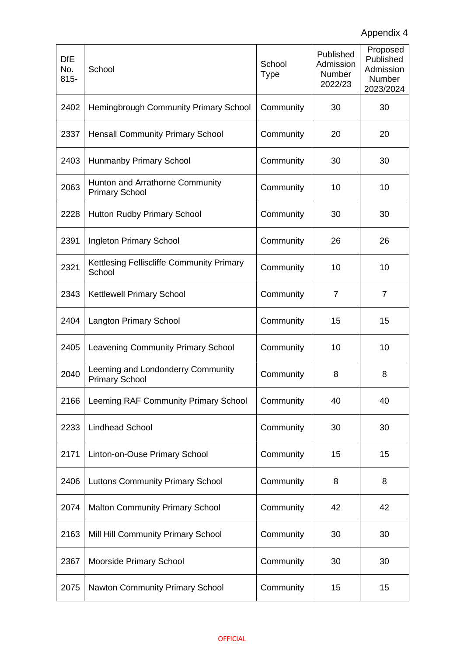| <b>DfE</b><br>No.<br>$815 -$ | School                                                     | School<br>Type | Published<br>Admission<br><b>Number</b><br>2022/23 | Proposed<br>Published<br>Admission<br>Number<br>2023/2024 |
|------------------------------|------------------------------------------------------------|----------------|----------------------------------------------------|-----------------------------------------------------------|
| 2402                         | <b>Hemingbrough Community Primary School</b>               | Community      | 30                                                 | 30                                                        |
| 2337                         | <b>Hensall Community Primary School</b>                    | Community      | 20                                                 | 20                                                        |
| 2403                         | Hunmanby Primary School                                    | Community      | 30                                                 | 30                                                        |
| 2063                         | Hunton and Arrathorne Community<br><b>Primary School</b>   | Community      | 10                                                 | 10                                                        |
| 2228                         | <b>Hutton Rudby Primary School</b>                         | Community      | 30                                                 | 30                                                        |
| 2391                         | Ingleton Primary School                                    | Community      | 26                                                 | 26                                                        |
| 2321                         | Kettlesing Felliscliffe Community Primary<br>School        | Community      | 10                                                 | 10                                                        |
| 2343                         | <b>Kettlewell Primary School</b>                           | Community      | 7                                                  | $\overline{7}$                                            |
| 2404                         | <b>Langton Primary School</b>                              | Community      | 15                                                 | 15                                                        |
| 2405                         | <b>Leavening Community Primary School</b>                  | Community      | 10                                                 | 10                                                        |
| 2040                         | Leeming and Londonderry Community<br><b>Primary School</b> | Community      | 8                                                  | 8                                                         |
| 2166                         | Leeming RAF Community Primary School                       | Community      | 40                                                 | 40                                                        |
| 2233                         | <b>Lindhead School</b>                                     | Community      | 30                                                 | 30                                                        |
| 2171                         | Linton-on-Ouse Primary School                              | Community      | 15                                                 | 15                                                        |
| 2406                         | <b>Luttons Community Primary School</b>                    | Community      | 8                                                  | 8                                                         |
| 2074                         | <b>Malton Community Primary School</b>                     | Community      | 42                                                 | 42                                                        |
| 2163                         | Mill Hill Community Primary School                         | Community      | 30                                                 | 30                                                        |
| 2367                         | Moorside Primary School                                    | Community      | 30                                                 | 30                                                        |
| 2075                         | <b>Nawton Community Primary School</b>                     | Community      | 15                                                 | 15                                                        |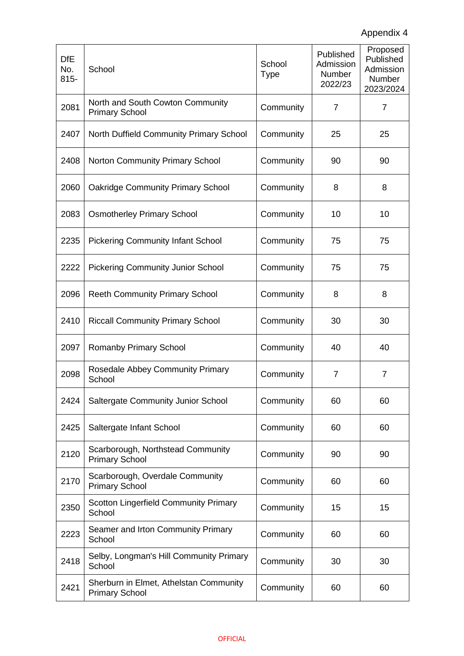| <b>DfE</b><br>No.<br>$815 -$ | School                                                          | School<br><b>Type</b> | Published<br>Admission<br>Number<br>2022/23 | Proposed<br>Published<br>Admission<br>Number<br>2023/2024 |
|------------------------------|-----------------------------------------------------------------|-----------------------|---------------------------------------------|-----------------------------------------------------------|
| 2081                         | North and South Cowton Community<br><b>Primary School</b>       | Community             | $\overline{7}$                              | $\overline{7}$                                            |
| 2407                         | North Duffield Community Primary School                         | Community             | 25                                          | 25                                                        |
| 2408                         | <b>Norton Community Primary School</b>                          | Community             | 90                                          | 90                                                        |
| 2060                         | <b>Oakridge Community Primary School</b>                        | Community             | 8                                           | 8                                                         |
| 2083                         | <b>Osmotherley Primary School</b>                               | Community             | 10                                          | 10                                                        |
| 2235                         | <b>Pickering Community Infant School</b>                        | Community             | 75                                          | 75                                                        |
| 2222                         | <b>Pickering Community Junior School</b>                        | Community             | 75                                          | 75                                                        |
| 2096                         | <b>Reeth Community Primary School</b>                           | Community             | 8                                           | 8                                                         |
| 2410                         | <b>Riccall Community Primary School</b>                         | Community             | 30                                          | 30                                                        |
| 2097                         | <b>Romanby Primary School</b>                                   | Community             | 40                                          | 40                                                        |
| 2098                         | Rosedale Abbey Community Primary<br>School                      | Community             | $\overline{7}$                              | $\overline{7}$                                            |
| 2424                         | Saltergate Community Junior School                              | Community             | 60                                          | 60                                                        |
| 2425                         | Saltergate Infant School                                        | Community             | 60                                          | 60                                                        |
| 2120                         | Scarborough, Northstead Community<br><b>Primary School</b>      | Community             | 90                                          | 90                                                        |
| 2170                         | Scarborough, Overdale Community<br><b>Primary School</b>        | Community             | 60                                          | 60                                                        |
| 2350                         | <b>Scotton Lingerfield Community Primary</b><br>School          | Community             | 15                                          | 15                                                        |
| 2223                         | Seamer and Irton Community Primary<br>School                    | Community             | 60                                          | 60                                                        |
| 2418                         | Selby, Longman's Hill Community Primary<br>School               | Community             | 30                                          | 30                                                        |
| 2421                         | Sherburn in Elmet, Athelstan Community<br><b>Primary School</b> | Community             | 60                                          | 60                                                        |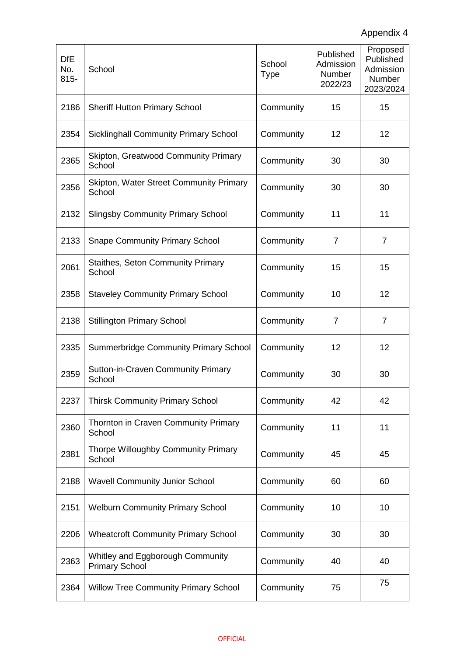| <b>DfE</b><br>No.<br>$815 -$ | School                                                    | School<br><b>Type</b> | Published<br>Admission<br>Number<br>2022/23 | Proposed<br>Published<br>Admission<br>Number<br>2023/2024 |
|------------------------------|-----------------------------------------------------------|-----------------------|---------------------------------------------|-----------------------------------------------------------|
| 2186                         | <b>Sheriff Hutton Primary School</b>                      | Community             | 15                                          | 15                                                        |
| 2354                         | <b>Sicklinghall Community Primary School</b>              | Community             | 12                                          | 12                                                        |
| 2365                         | Skipton, Greatwood Community Primary<br>School            | Community             | 30                                          | 30                                                        |
| 2356                         | Skipton, Water Street Community Primary<br>School         | Community             | 30                                          | 30                                                        |
| 2132                         | <b>Slingsby Community Primary School</b>                  | Community             | 11                                          | 11                                                        |
| 2133                         | <b>Snape Community Primary School</b>                     | Community             | $\overline{7}$                              | $\overline{7}$                                            |
| 2061                         | <b>Staithes, Seton Community Primary</b><br>School        | Community             | 15                                          | 15                                                        |
| 2358                         | <b>Staveley Community Primary School</b>                  | Community             | 10                                          | 12                                                        |
| 2138                         | <b>Stillington Primary School</b>                         | Community             | 7                                           | $\overline{7}$                                            |
| 2335                         | <b>Summerbridge Community Primary School</b>              | Community             | 12                                          | 12                                                        |
| 2359                         | <b>Sutton-in-Craven Community Primary</b><br>School       | Community             | 30                                          | 30                                                        |
| 2237                         | <b>Thirsk Community Primary School</b>                    | Community             | 42                                          | 42                                                        |
| 2360                         | Thornton in Craven Community Primary<br>School            | Community             | 11                                          | 11                                                        |
| 2381                         | Thorpe Willoughby Community Primary<br>School             | Community             | 45                                          | 45                                                        |
| 2188                         | <b>Wavell Community Junior School</b>                     | Community             | 60                                          | 60                                                        |
| 2151                         | <b>Welburn Community Primary School</b>                   | Community             | 10                                          | 10                                                        |
| 2206                         | <b>Wheatcroft Community Primary School</b>                | Community             | 30                                          | 30                                                        |
| 2363                         | Whitley and Eggborough Community<br><b>Primary School</b> | Community             | 40                                          | 40                                                        |
| 2364                         | <b>Willow Tree Community Primary School</b>               | Community             | 75                                          | 75                                                        |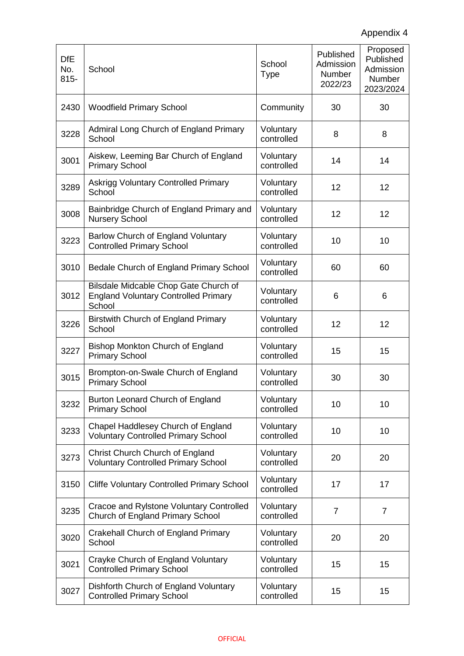| <b>DfE</b><br>No.<br>$815 -$ | School                                                                                         | School<br><b>Type</b>   | Published<br>Admission<br><b>Number</b><br>2022/23 | Proposed<br>Published<br>Admission<br><b>Number</b><br>2023/2024 |
|------------------------------|------------------------------------------------------------------------------------------------|-------------------------|----------------------------------------------------|------------------------------------------------------------------|
| 2430                         | <b>Woodfield Primary School</b>                                                                | Community               | 30                                                 | 30                                                               |
| 3228                         | Admiral Long Church of England Primary<br>School                                               | Voluntary<br>controlled | 8                                                  | 8                                                                |
| 3001                         | Aiskew, Leeming Bar Church of England<br><b>Primary School</b>                                 | Voluntary<br>controlled | 14                                                 | 14                                                               |
| 3289                         | <b>Askrigg Voluntary Controlled Primary</b><br>School                                          | Voluntary<br>controlled | 12                                                 | 12                                                               |
| 3008                         | Bainbridge Church of England Primary and<br><b>Nursery School</b>                              | Voluntary<br>controlled | 12                                                 | 12                                                               |
| 3223                         | Barlow Church of England Voluntary<br><b>Controlled Primary School</b>                         | Voluntary<br>controlled | 10                                                 | 10                                                               |
| 3010                         | Bedale Church of England Primary School                                                        | Voluntary<br>controlled | 60                                                 | 60                                                               |
| 3012                         | Bilsdale Midcable Chop Gate Church of<br><b>England Voluntary Controlled Primary</b><br>School | Voluntary<br>controlled | 6                                                  | 6                                                                |
| 3226                         | <b>Birstwith Church of England Primary</b><br>School                                           | Voluntary<br>controlled | 12                                                 | 12                                                               |
| 3227                         | Bishop Monkton Church of England<br><b>Primary School</b>                                      | Voluntary<br>controlled | 15                                                 | 15                                                               |
| 3015                         | Brompton-on-Swale Church of England<br><b>Primary School</b>                                   | Voluntary<br>controlled | 30                                                 | 30                                                               |
| 3232                         | Burton Leonard Church of England<br><b>Primary School</b>                                      | Voluntary<br>controlled | 10                                                 | 10                                                               |
| 3233                         | Chapel Haddlesey Church of England<br><b>Voluntary Controlled Primary School</b>               | Voluntary<br>controlled | 10                                                 | 10                                                               |
| 3273                         | Christ Church Church of England<br><b>Voluntary Controlled Primary School</b>                  | Voluntary<br>controlled | 20                                                 | 20                                                               |
| 3150                         | <b>Cliffe Voluntary Controlled Primary School</b>                                              | Voluntary<br>controlled | 17                                                 | 17                                                               |
| 3235                         | Cracoe and Rylstone Voluntary Controlled<br>Church of England Primary School                   | Voluntary<br>controlled | $\overline{7}$                                     | $\overline{7}$                                                   |
| 3020                         | Crakehall Church of England Primary<br>School                                                  | Voluntary<br>controlled | 20                                                 | 20                                                               |
| 3021                         | Crayke Church of England Voluntary<br><b>Controlled Primary School</b>                         | Voluntary<br>controlled | 15                                                 | 15                                                               |
| 3027                         | Dishforth Church of England Voluntary<br><b>Controlled Primary School</b>                      | Voluntary<br>controlled | 15                                                 | 15                                                               |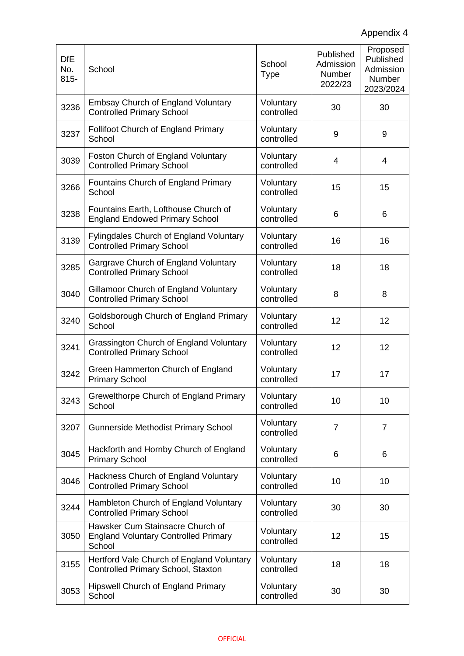| <b>DfE</b><br>No.<br>$815 -$ | School                                                                                    | School<br><b>Type</b>   | Published<br>Admission<br><b>Number</b><br>2022/23 | Proposed<br>Published<br>Admission<br><b>Number</b><br>2023/2024 |
|------------------------------|-------------------------------------------------------------------------------------------|-------------------------|----------------------------------------------------|------------------------------------------------------------------|
| 3236                         | <b>Embsay Church of England Voluntary</b><br><b>Controlled Primary School</b>             | Voluntary<br>controlled | 30                                                 | 30                                                               |
| 3237                         | <b>Follifoot Church of England Primary</b><br>School                                      | Voluntary<br>controlled | 9                                                  | 9                                                                |
| 3039                         | Foston Church of England Voluntary<br><b>Controlled Primary School</b>                    | Voluntary<br>controlled | 4                                                  | 4                                                                |
| 3266                         | Fountains Church of England Primary<br>School                                             | Voluntary<br>controlled | 15                                                 | 15                                                               |
| 3238                         | Fountains Earth, Lofthouse Church of<br><b>England Endowed Primary School</b>             | Voluntary<br>controlled | 6                                                  | 6                                                                |
| 3139                         | <b>Fylingdales Church of England Voluntary</b><br><b>Controlled Primary School</b>        | Voluntary<br>controlled | 16                                                 | 16                                                               |
| 3285                         | Gargrave Church of England Voluntary<br><b>Controlled Primary School</b>                  | Voluntary<br>controlled | 18                                                 | 18                                                               |
| 3040                         | Gillamoor Church of England Voluntary<br><b>Controlled Primary School</b>                 | Voluntary<br>controlled | 8                                                  | 8                                                                |
| 3240                         | Goldsborough Church of England Primary<br>School                                          | Voluntary<br>controlled | 12                                                 | 12                                                               |
| 3241                         | Grassington Church of England Voluntary<br><b>Controlled Primary School</b>               | Voluntary<br>controlled | 12                                                 | 12                                                               |
| 3242                         | Green Hammerton Church of England<br><b>Primary School</b>                                | Voluntary<br>controlled | 17                                                 | 17                                                               |
| 3243                         | Grewelthorpe Church of England Primary<br>School                                          | Voluntary<br>controlled | 10                                                 | 10                                                               |
| 3207                         | <b>Gunnerside Methodist Primary School</b>                                                | Voluntary<br>controlled | $\overline{7}$                                     | $\overline{7}$                                                   |
| 3045                         | Hackforth and Hornby Church of England<br><b>Primary School</b>                           | Voluntary<br>controlled | 6                                                  | 6                                                                |
| 3046                         | Hackness Church of England Voluntary<br><b>Controlled Primary School</b>                  | Voluntary<br>controlled | 10                                                 | 10                                                               |
| 3244                         | Hambleton Church of England Voluntary<br><b>Controlled Primary School</b>                 | Voluntary<br>controlled | 30                                                 | 30                                                               |
| 3050                         | Hawsker Cum Stainsacre Church of<br><b>England Voluntary Controlled Primary</b><br>School | Voluntary<br>controlled | 12                                                 | 15                                                               |
| 3155                         | Hertford Vale Church of England Voluntary<br>Controlled Primary School, Staxton           | Voluntary<br>controlled | 18                                                 | 18                                                               |
| 3053                         | <b>Hipswell Church of England Primary</b><br>School                                       | Voluntary<br>controlled | 30                                                 | 30                                                               |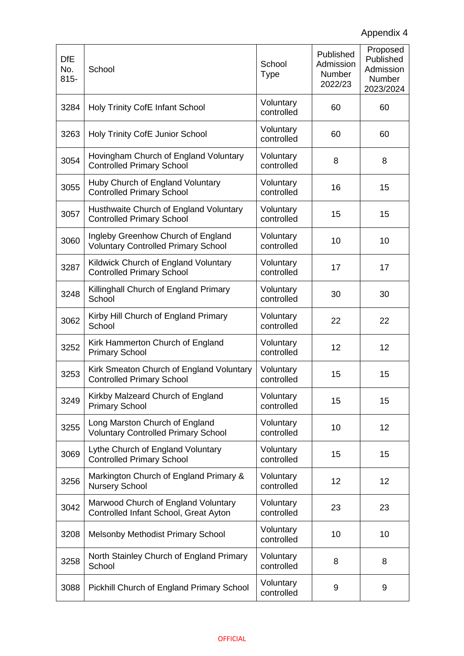| <b>DfE</b><br>No.<br>$815 -$ | School                                                                           | School<br><b>Type</b>   | Published<br>Admission<br><b>Number</b><br>2022/23 | Proposed<br>Published<br>Admission<br>Number<br>2023/2024 |
|------------------------------|----------------------------------------------------------------------------------|-------------------------|----------------------------------------------------|-----------------------------------------------------------|
| 3284                         | <b>Holy Trinity CofE Infant School</b>                                           | Voluntary<br>controlled | 60                                                 | 60                                                        |
| 3263                         | Holy Trinity CofE Junior School                                                  | Voluntary<br>controlled | 60                                                 | 60                                                        |
| 3054                         | Hovingham Church of England Voluntary<br><b>Controlled Primary School</b>        | Voluntary<br>controlled | 8                                                  | 8                                                         |
| 3055                         | Huby Church of England Voluntary<br><b>Controlled Primary School</b>             | Voluntary<br>controlled | 16                                                 | 15                                                        |
| 3057                         | Husthwaite Church of England Voluntary<br><b>Controlled Primary School</b>       | Voluntary<br>controlled | 15                                                 | 15                                                        |
| 3060                         | Ingleby Greenhow Church of England<br><b>Voluntary Controlled Primary School</b> | Voluntary<br>controlled | 10                                                 | 10                                                        |
| 3287                         | Kildwick Church of England Voluntary<br><b>Controlled Primary School</b>         | Voluntary<br>controlled | 17                                                 | 17                                                        |
| 3248                         | Killinghall Church of England Primary<br>School                                  | Voluntary<br>controlled | 30                                                 | 30                                                        |
| 3062                         | Kirby Hill Church of England Primary<br>School                                   | Voluntary<br>controlled | 22                                                 | 22                                                        |
| 3252                         | Kirk Hammerton Church of England<br><b>Primary School</b>                        | Voluntary<br>controlled | 12                                                 | 12                                                        |
| 3253                         | Kirk Smeaton Church of England Voluntary<br><b>Controlled Primary School</b>     | Voluntary<br>controlled | 15                                                 | 15                                                        |
| 3249                         | Kirkby Malzeard Church of England<br><b>Primary School</b>                       | Voluntary<br>controlled | 15                                                 | 15                                                        |
| 3255                         | Long Marston Church of England<br><b>Voluntary Controlled Primary School</b>     | Voluntary<br>controlled | 10                                                 | 12                                                        |
| 3069                         | Lythe Church of England Voluntary<br><b>Controlled Primary School</b>            | Voluntary<br>controlled | 15                                                 | 15                                                        |
| 3256                         | Markington Church of England Primary &<br><b>Nursery School</b>                  | Voluntary<br>controlled | 12                                                 | 12                                                        |
| 3042                         | Marwood Church of England Voluntary<br>Controlled Infant School, Great Ayton     | Voluntary<br>controlled | 23                                                 | 23                                                        |
| 3208                         | <b>Melsonby Methodist Primary School</b>                                         | Voluntary<br>controlled | 10                                                 | 10                                                        |
| 3258                         | North Stainley Church of England Primary<br>School                               | Voluntary<br>controlled | 8                                                  | 8                                                         |
| 3088                         | Pickhill Church of England Primary School                                        | Voluntary<br>controlled | 9                                                  | 9                                                         |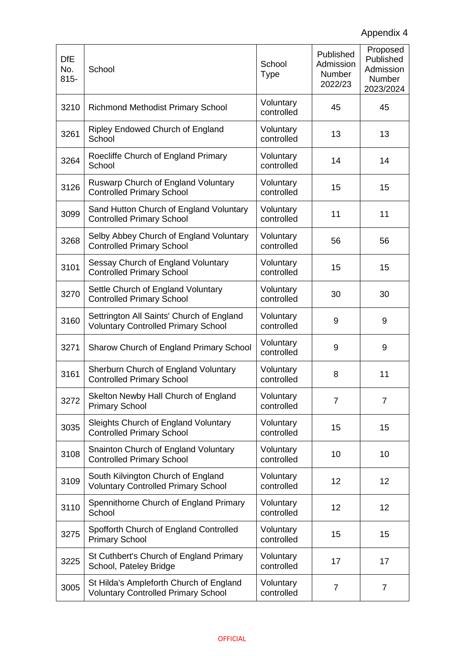| <b>DfE</b><br>No.<br>$815 -$ | School                                                                                  | School<br><b>Type</b>   | Published<br>Admission<br>Number<br>2022/23 | Proposed<br>Published<br>Admission<br><b>Number</b><br>2023/2024 |
|------------------------------|-----------------------------------------------------------------------------------------|-------------------------|---------------------------------------------|------------------------------------------------------------------|
| 3210                         | <b>Richmond Methodist Primary School</b>                                                | Voluntary<br>controlled | 45                                          | 45                                                               |
| 3261                         | Ripley Endowed Church of England<br>School                                              | Voluntary<br>controlled | 13                                          | 13                                                               |
| 3264                         | Roecliffe Church of England Primary<br>School                                           | Voluntary<br>controlled | 14                                          | 14                                                               |
| 3126                         | Ruswarp Church of England Voluntary<br><b>Controlled Primary School</b>                 | Voluntary<br>controlled | 15                                          | 15                                                               |
| 3099                         | Sand Hutton Church of England Voluntary<br><b>Controlled Primary School</b>             | Voluntary<br>controlled | 11                                          | 11                                                               |
| 3268                         | Selby Abbey Church of England Voluntary<br><b>Controlled Primary School</b>             | Voluntary<br>controlled | 56                                          | 56                                                               |
| 3101                         | Sessay Church of England Voluntary<br><b>Controlled Primary School</b>                  | Voluntary<br>controlled | 15                                          | 15                                                               |
| 3270                         | Settle Church of England Voluntary<br><b>Controlled Primary School</b>                  | Voluntary<br>controlled | 30                                          | 30                                                               |
| 3160                         | Settrington All Saints' Church of England<br><b>Voluntary Controlled Primary School</b> | Voluntary<br>controlled | 9                                           | 9                                                                |
| 3271                         | Sharow Church of England Primary School                                                 | Voluntary<br>controlled | 9                                           | 9                                                                |
| 3161                         | Sherburn Church of England Voluntary<br><b>Controlled Primary School</b>                | Voluntary<br>controlled | 8                                           | 11                                                               |
| 3272                         | Skelton Newby Hall Church of England<br><b>Primary School</b>                           | Voluntary<br>controlled | $\overline{7}$                              | $\overline{7}$                                                   |
| 3035                         | Sleights Church of England Voluntary<br><b>Controlled Primary School</b>                | Voluntary<br>controlled | 15                                          | 15                                                               |
| 3108                         | Snainton Church of England Voluntary<br><b>Controlled Primary School</b>                | Voluntary<br>controlled | 10                                          | 10                                                               |
| 3109                         | South Kilvington Church of England<br><b>Voluntary Controlled Primary School</b>        | Voluntary<br>controlled | 12                                          | 12                                                               |
| 3110                         | Spennithorne Church of England Primary<br>School                                        | Voluntary<br>controlled | 12                                          | 12                                                               |
| 3275                         | Spofforth Church of England Controlled<br><b>Primary School</b>                         | Voluntary<br>controlled | 15                                          | 15                                                               |
| 3225                         | St Cuthbert's Church of England Primary<br>School, Pateley Bridge                       | Voluntary<br>controlled | 17                                          | 17                                                               |
| 3005                         | St Hilda's Ampleforth Church of England<br><b>Voluntary Controlled Primary School</b>   | Voluntary<br>controlled | $\overline{7}$                              | $\overline{7}$                                                   |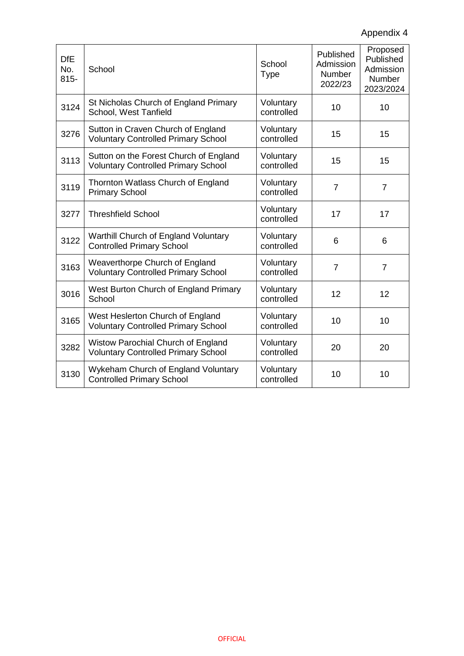| <b>DfE</b><br>No.<br>$815 -$ | School                                                                               | School<br>Type          | Published<br>Admission<br><b>Number</b><br>2022/23 | Proposed<br>Published<br>Admission<br><b>Number</b><br>2023/2024 |
|------------------------------|--------------------------------------------------------------------------------------|-------------------------|----------------------------------------------------|------------------------------------------------------------------|
| 3124                         | St Nicholas Church of England Primary<br>School, West Tanfield                       | Voluntary<br>controlled | 10                                                 | 10                                                               |
| 3276                         | Sutton in Craven Church of England<br><b>Voluntary Controlled Primary School</b>     | Voluntary<br>controlled | 15                                                 | 15                                                               |
| 3113                         | Sutton on the Forest Church of England<br><b>Voluntary Controlled Primary School</b> | Voluntary<br>controlled | 15                                                 | 15                                                               |
| 3119                         | Thornton Watlass Church of England<br><b>Primary School</b>                          | Voluntary<br>controlled | $\overline{7}$                                     | $\overline{7}$                                                   |
| 3277                         | <b>Threshfield School</b>                                                            | Voluntary<br>controlled | 17                                                 | 17                                                               |
| 3122                         | Warthill Church of England Voluntary<br><b>Controlled Primary School</b>             | Voluntary<br>controlled | 6                                                  | 6                                                                |
| 3163                         | Weaverthorpe Church of England<br><b>Voluntary Controlled Primary School</b>         | Voluntary<br>controlled | $\overline{7}$                                     | $\overline{7}$                                                   |
| 3016                         | West Burton Church of England Primary<br>School                                      | Voluntary<br>controlled | 12                                                 | 12                                                               |
| 3165                         | West Heslerton Church of England<br><b>Voluntary Controlled Primary School</b>       | Voluntary<br>controlled | 10                                                 | 10                                                               |
| 3282                         | Wistow Parochial Church of England<br><b>Voluntary Controlled Primary School</b>     | Voluntary<br>controlled | 20                                                 | 20                                                               |
| 3130                         | Wykeham Church of England Voluntary<br><b>Controlled Primary School</b>              | Voluntary<br>controlled | 10                                                 | 10                                                               |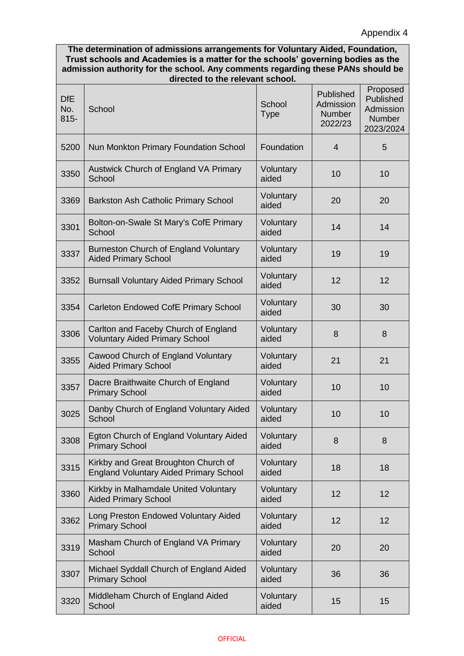**The determination of admissions arrangements for Voluntary Aided, Foundation, Trust schools and Academies is a matter for the schools' governing bodies as the admission authority for the school. Any comments regarding these PANs should be directed to the relevant school.**

| <b>DfE</b><br>No.<br>$815 -$ | School                                                                                | School<br><b>Type</b> | Published<br>Admission<br><b>Number</b><br>2022/23 | Proposed<br>Published<br>Admission<br><b>Number</b><br>2023/2024 |
|------------------------------|---------------------------------------------------------------------------------------|-----------------------|----------------------------------------------------|------------------------------------------------------------------|
| 5200                         | Nun Monkton Primary Foundation School                                                 | Foundation            | 4                                                  | 5                                                                |
| 3350                         | Austwick Church of England VA Primary<br>School                                       | Voluntary<br>aided    | 10                                                 | 10                                                               |
| 3369                         | <b>Barkston Ash Catholic Primary School</b>                                           | Voluntary<br>aided    | 20                                                 | 20                                                               |
| 3301                         | Bolton-on-Swale St Mary's CofE Primary<br>School                                      | Voluntary<br>aided    | 14                                                 | 14                                                               |
| 3337                         | <b>Burneston Church of England Voluntary</b><br><b>Aided Primary School</b>           | Voluntary<br>aided    | 19                                                 | 19                                                               |
| 3352                         | <b>Burnsall Voluntary Aided Primary School</b>                                        | Voluntary<br>aided    | 12                                                 | 12                                                               |
| 3354                         | <b>Carleton Endowed CofE Primary School</b>                                           | Voluntary<br>aided    | 30                                                 | 30                                                               |
| 3306                         | Carlton and Faceby Church of England<br><b>Voluntary Aided Primary School</b>         | Voluntary<br>aided    | 8                                                  | 8                                                                |
| 3355                         | Cawood Church of England Voluntary<br><b>Aided Primary School</b>                     | Voluntary<br>aided    | 21                                                 | 21                                                               |
| 3357                         | Dacre Braithwaite Church of England<br><b>Primary School</b>                          | Voluntary<br>aided    | 10                                                 | 10                                                               |
| 3025                         | Danby Church of England Voluntary Aided<br>School                                     | Voluntary<br>aided    | 10                                                 | 10                                                               |
| 3308                         | Egton Church of England Voluntary Aided<br><b>Primary School</b>                      | Voluntary<br>aided    | 8                                                  | 8                                                                |
| 3315                         | Kirkby and Great Broughton Church of<br><b>England Voluntary Aided Primary School</b> | Voluntary<br>aided    | 18                                                 | 18                                                               |
| 3360                         | Kirkby in Malhamdale United Voluntary<br><b>Aided Primary School</b>                  | Voluntary<br>aided    | 12                                                 | 12                                                               |
| 3362                         | Long Preston Endowed Voluntary Aided<br><b>Primary School</b>                         | Voluntary<br>aided    | 12                                                 | 12                                                               |
| 3319                         | Masham Church of England VA Primary<br>School                                         | Voluntary<br>aided    | 20                                                 | 20                                                               |
| 3307                         | Michael Syddall Church of England Aided<br><b>Primary School</b>                      | Voluntary<br>aided    | 36                                                 | 36                                                               |
| 3320                         | Middleham Church of England Aided<br>School                                           | Voluntary<br>aided    | 15                                                 | 15                                                               |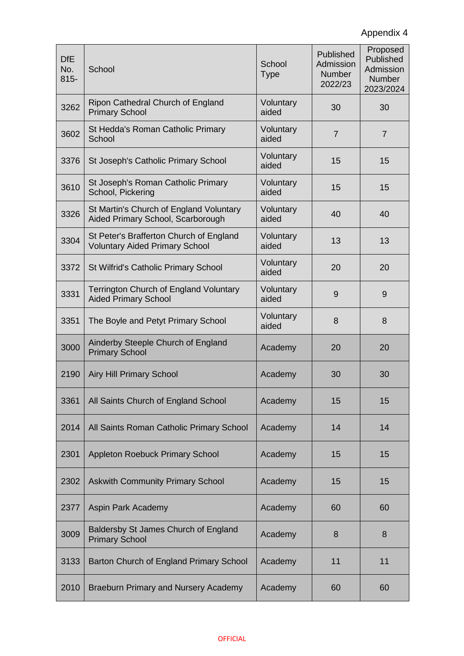| <b>DfE</b><br>No.<br>$815 -$ | School                                                                           | School<br><b>Type</b> | Published<br>Admission<br><b>Number</b><br>2022/23 | Proposed<br>Published<br>Admission<br><b>Number</b><br>2023/2024 |
|------------------------------|----------------------------------------------------------------------------------|-----------------------|----------------------------------------------------|------------------------------------------------------------------|
| 3262                         | Ripon Cathedral Church of England<br><b>Primary School</b>                       | Voluntary<br>aided    | 30                                                 | 30                                                               |
| 3602                         | St Hedda's Roman Catholic Primary<br>School                                      | Voluntary<br>aided    | $\overline{7}$                                     | $\overline{7}$                                                   |
| 3376                         | St Joseph's Catholic Primary School                                              | Voluntary<br>aided    | 15                                                 | 15                                                               |
| 3610                         | St Joseph's Roman Catholic Primary<br>School, Pickering                          | Voluntary<br>aided    | 15                                                 | 15                                                               |
| 3326                         | St Martin's Church of England Voluntary<br>Aided Primary School, Scarborough     | Voluntary<br>aided    | 40                                                 | 40                                                               |
| 3304                         | St Peter's Brafferton Church of England<br><b>Voluntary Aided Primary School</b> | Voluntary<br>aided    | 13                                                 | 13                                                               |
| 3372                         | <b>St Wilfrid's Catholic Primary School</b>                                      | Voluntary<br>aided    | 20                                                 | 20                                                               |
| 3331                         | <b>Terrington Church of England Voluntary</b><br><b>Aided Primary School</b>     | Voluntary<br>aided    | 9                                                  | 9                                                                |
| 3351                         | The Boyle and Petyt Primary School                                               | Voluntary<br>aided    | 8                                                  | 8                                                                |
| 3000                         | Ainderby Steeple Church of England<br><b>Primary School</b>                      | Academy               | 20                                                 | 20                                                               |
| 2190                         | <b>Airy Hill Primary School</b>                                                  | Academy               | 30                                                 | 30                                                               |
| 3361                         | All Saints Church of England School                                              | Academy               | 15                                                 | 15                                                               |
| 2014                         | All Saints Roman Catholic Primary School                                         | Academy               | 14                                                 | 14                                                               |
| 2301                         | <b>Appleton Roebuck Primary School</b>                                           | Academy               | 15                                                 | 15                                                               |
| 2302                         | <b>Askwith Community Primary School</b>                                          | Academy               | 15                                                 | 15                                                               |
| 2377                         | Aspin Park Academy                                                               | Academy               | 60                                                 | 60                                                               |
| 3009                         | Baldersby St James Church of England<br><b>Primary School</b>                    | Academy               | 8                                                  | 8                                                                |
| 3133                         | Barton Church of England Primary School                                          | Academy               | 11                                                 | 11                                                               |
| 2010                         | <b>Braeburn Primary and Nursery Academy</b>                                      | Academy               | 60                                                 | 60                                                               |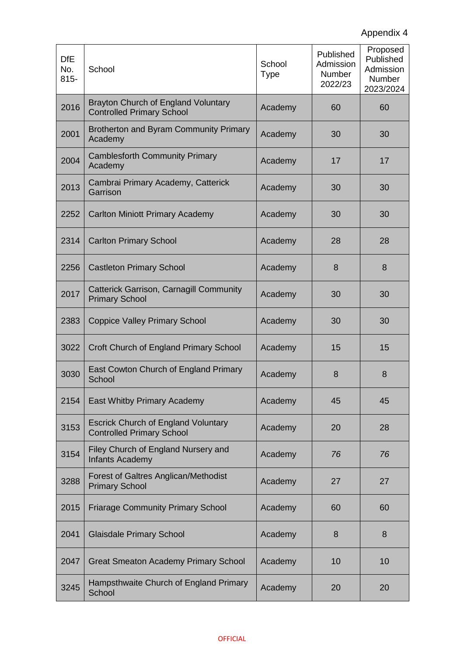| <b>DfE</b><br>No.<br>$815 -$ | School                                                                         | School<br><b>Type</b> | Published<br>Admission<br><b>Number</b><br>2022/23 | Proposed<br>Published<br>Admission<br>Number<br>2023/2024 |
|------------------------------|--------------------------------------------------------------------------------|-----------------------|----------------------------------------------------|-----------------------------------------------------------|
| 2016                         | Brayton Church of England Voluntary<br><b>Controlled Primary School</b>        | Academy               | 60                                                 | 60                                                        |
| 2001                         | <b>Brotherton and Byram Community Primary</b><br>Academy                       | Academy               | 30                                                 | 30                                                        |
| 2004                         | <b>Camblesforth Community Primary</b><br>Academy                               | Academy               | 17                                                 | 17                                                        |
| 2013                         | Cambrai Primary Academy, Catterick<br>Garrison                                 | Academy               | 30                                                 | 30                                                        |
| 2252                         | <b>Carlton Miniott Primary Academy</b>                                         | Academy               | 30                                                 | 30                                                        |
| 2314                         | <b>Carlton Primary School</b>                                                  | Academy               | 28                                                 | 28                                                        |
| 2256                         | <b>Castleton Primary School</b>                                                | Academy               | 8                                                  | 8                                                         |
| 2017                         | <b>Catterick Garrison, Carnagill Community</b><br><b>Primary School</b>        | Academy               | 30                                                 | 30                                                        |
| 2383                         | <b>Coppice Valley Primary School</b>                                           | Academy               | 30                                                 | 30                                                        |
| 3022                         | Croft Church of England Primary School                                         | Academy               | 15                                                 | 15                                                        |
| 3030                         | East Cowton Church of England Primary<br>School                                | Academy               | 8                                                  | 8                                                         |
| 2154                         | East Whitby Primary Academy                                                    | Academy               | 45                                                 | 45                                                        |
| 3153                         | <b>Escrick Church of England Voluntary</b><br><b>Controlled Primary School</b> | Academy               | 20                                                 | 28                                                        |
| 3154                         | Filey Church of England Nursery and<br><b>Infants Academy</b>                  | Academy               | 76                                                 | 76                                                        |
| 3288                         | Forest of Galtres Anglican/Methodist<br><b>Primary School</b>                  | Academy               | 27                                                 | 27                                                        |
| 2015                         | <b>Friarage Community Primary School</b>                                       | Academy               | 60                                                 | 60                                                        |
| 2041                         | <b>Glaisdale Primary School</b>                                                | Academy               | 8                                                  | 8                                                         |
| 2047                         | <b>Great Smeaton Academy Primary School</b>                                    | Academy               | 10                                                 | 10                                                        |
| 3245                         | Hampsthwaite Church of England Primary<br>School                               | Academy               | 20                                                 | 20                                                        |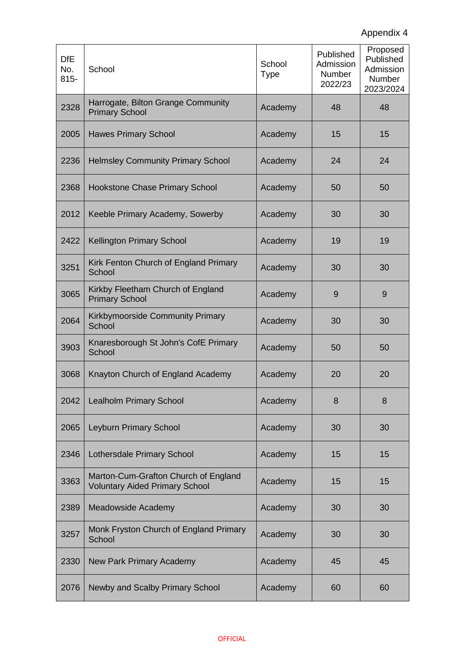| <b>DfE</b><br>No.<br>$815 -$ | School                                                                        | School<br><b>Type</b> | Published<br>Admission<br><b>Number</b><br>2022/23 | Proposed<br>Published<br>Admission<br><b>Number</b><br>2023/2024 |
|------------------------------|-------------------------------------------------------------------------------|-----------------------|----------------------------------------------------|------------------------------------------------------------------|
| 2328                         | Harrogate, Bilton Grange Community<br><b>Primary School</b>                   | Academy               | 48                                                 | 48                                                               |
| 2005                         | <b>Hawes Primary School</b>                                                   | Academy               | 15                                                 | 15                                                               |
| 2236                         | <b>Helmsley Community Primary School</b>                                      | Academy               | 24                                                 | 24                                                               |
| 2368                         | <b>Hookstone Chase Primary School</b>                                         | Academy               | 50                                                 | 50                                                               |
| 2012                         | Keeble Primary Academy, Sowerby                                               | Academy               | 30                                                 | 30                                                               |
| 2422                         | <b>Kellington Primary School</b>                                              | Academy               | 19                                                 | 19                                                               |
| 3251                         | Kirk Fenton Church of England Primary<br>School                               | Academy               | 30                                                 | 30                                                               |
| 3065                         | Kirkby Fleetham Church of England<br><b>Primary School</b>                    | Academy               | 9                                                  | 9                                                                |
| 2064                         | Kirkbymoorside Community Primary<br>School                                    | Academy               | 30                                                 | 30                                                               |
| 3903                         | Knaresborough St John's CofE Primary<br>School                                | Academy               | 50                                                 | 50                                                               |
| 3068                         | Knayton Church of England Academy                                             | Academy               | 20                                                 | 20                                                               |
| 2042                         | <b>Lealholm Primary School</b>                                                | Academy               | 8                                                  | 8                                                                |
| 2065                         | Leyburn Primary School                                                        | Academy               | 30                                                 | 30                                                               |
| 2346                         | Lothersdale Primary School                                                    | Academy               | 15                                                 | 15                                                               |
| 3363                         | Marton-Cum-Grafton Church of England<br><b>Voluntary Aided Primary School</b> | Academy               | 15                                                 | 15                                                               |
| 2389                         | Meadowside Academy                                                            | Academy               | 30                                                 | 30                                                               |
| 3257                         | Monk Fryston Church of England Primary<br>School                              | Academy               | 30                                                 | 30                                                               |
| 2330                         | <b>New Park Primary Academy</b>                                               | Academy               | 45                                                 | 45                                                               |
| 2076                         | Newby and Scalby Primary School                                               | Academy               | 60                                                 | 60                                                               |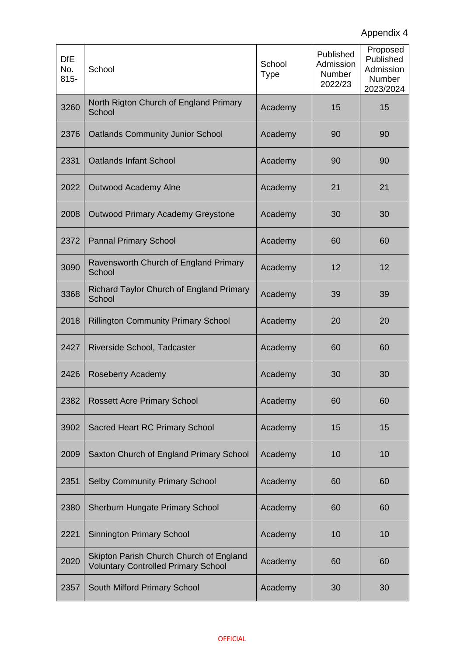| <b>DfE</b><br>No.<br>$815 -$ | School                                                                                | School<br><b>Type</b> | Published<br>Admission<br><b>Number</b><br>2022/23 | Proposed<br>Published<br>Admission<br>Number<br>2023/2024 |
|------------------------------|---------------------------------------------------------------------------------------|-----------------------|----------------------------------------------------|-----------------------------------------------------------|
| 3260                         | North Rigton Church of England Primary<br>School                                      | Academy               | 15                                                 | 15                                                        |
| 2376                         | <b>Oatlands Community Junior School</b>                                               | Academy               | 90                                                 | 90                                                        |
| 2331                         | <b>Oatlands Infant School</b>                                                         | Academy               | 90                                                 | 90                                                        |
| 2022                         | <b>Outwood Academy Alne</b>                                                           | Academy               | 21                                                 | 21                                                        |
| 2008                         | <b>Outwood Primary Academy Greystone</b>                                              | Academy               | 30                                                 | 30                                                        |
| 2372                         | <b>Pannal Primary School</b>                                                          | Academy               | 60                                                 | 60                                                        |
| 3090                         | Ravensworth Church of England Primary<br>School                                       | Academy               | 12                                                 | 12                                                        |
| 3368                         | Richard Taylor Church of England Primary<br>School                                    | Academy               | 39                                                 | 39                                                        |
| 2018                         | <b>Rillington Community Primary School</b>                                            | Academy               | 20                                                 | 20                                                        |
| 2427                         | Riverside School, Tadcaster                                                           | Academy               | 60                                                 | 60                                                        |
| 2426                         | Roseberry Academy                                                                     | Academy               | 30                                                 | 30                                                        |
| 2382                         | <b>Rossett Acre Primary School</b>                                                    | Academy               | 60                                                 | 60                                                        |
| 3902                         | <b>Sacred Heart RC Primary School</b>                                                 | Academy               | 15                                                 | 15                                                        |
| 2009                         | Saxton Church of England Primary School                                               | Academy               | 10                                                 | 10                                                        |
| 2351                         | <b>Selby Community Primary School</b>                                                 | Academy               | 60                                                 | 60                                                        |
| 2380                         | <b>Sherburn Hungate Primary School</b>                                                | Academy               | 60                                                 | 60                                                        |
| 2221                         | <b>Sinnington Primary School</b>                                                      | Academy               | 10                                                 | 10                                                        |
| 2020                         | Skipton Parish Church Church of England<br><b>Voluntary Controlled Primary School</b> | Academy               | 60                                                 | 60                                                        |
| 2357                         | South Milford Primary School                                                          | Academy               | 30                                                 | 30                                                        |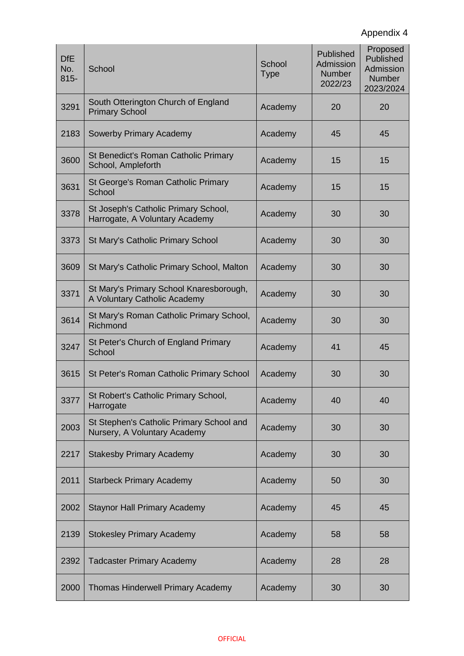| <b>DfE</b><br>No.<br>$815 -$ | School                                                                   | School<br><b>Type</b> | <b>Published</b><br>Admission<br><b>Number</b><br>2022/23 | Proposed<br>Published<br>Admission<br>Number<br>2023/2024 |
|------------------------------|--------------------------------------------------------------------------|-----------------------|-----------------------------------------------------------|-----------------------------------------------------------|
| 3291                         | South Otterington Church of England<br><b>Primary School</b>             | Academy               | 20                                                        | 20                                                        |
| 2183                         | <b>Sowerby Primary Academy</b>                                           | Academy               | 45                                                        | 45                                                        |
| 3600                         | St Benedict's Roman Catholic Primary<br>School, Ampleforth               | Academy               | 15                                                        | 15                                                        |
| 3631                         | St George's Roman Catholic Primary<br>School                             | Academy               | 15                                                        | 15                                                        |
| 3378                         | St Joseph's Catholic Primary School,<br>Harrogate, A Voluntary Academy   | Academy               | 30                                                        | 30                                                        |
| 3373                         | <b>St Mary's Catholic Primary School</b>                                 | Academy               | 30                                                        | 30                                                        |
| 3609                         | St Mary's Catholic Primary School, Malton                                | Academy               | 30                                                        | 30                                                        |
| 3371                         | St Mary's Primary School Knaresborough,<br>A Voluntary Catholic Academy  | Academy               | 30                                                        | 30                                                        |
| 3614                         | St Mary's Roman Catholic Primary School,<br>Richmond                     | Academy               | 30                                                        | 30                                                        |
| 3247                         | St Peter's Church of England Primary<br>School                           | Academy               | 41                                                        | 45                                                        |
| 3615                         | St Peter's Roman Catholic Primary School                                 | Academy               | 30                                                        | 30                                                        |
| 3377                         | St Robert's Catholic Primary School,<br>Harrogate                        | Academy               | 40                                                        | 40                                                        |
| 2003                         | St Stephen's Catholic Primary School and<br>Nursery, A Voluntary Academy | Academy               | 30                                                        | 30                                                        |
| 2217                         | <b>Stakesby Primary Academy</b>                                          | Academy               | 30                                                        | 30                                                        |
| 2011                         | <b>Starbeck Primary Academy</b>                                          | Academy               | 50                                                        | 30                                                        |
| 2002                         | <b>Staynor Hall Primary Academy</b>                                      | Academy               | 45                                                        | 45                                                        |
| 2139                         | <b>Stokesley Primary Academy</b>                                         | Academy               | 58                                                        | 58                                                        |
| 2392                         | <b>Tadcaster Primary Academy</b>                                         | Academy               | 28                                                        | 28                                                        |
| 2000                         | <b>Thomas Hinderwell Primary Academy</b>                                 | Academy               | 30                                                        | 30                                                        |